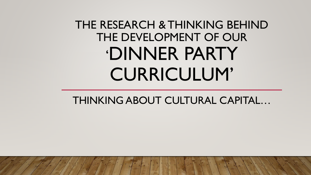# THE RESEARCH & THINKING BEHIND THE DEVELOPMENT OF OUR 'DINNER PARTY CURRICULUM'

THINKING ABOUT CULTURAL CAPITAL…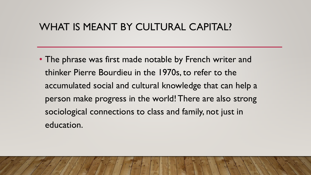## WHAT IS MEANT BY CULTURAL CAPITAL?

• The phrase was first made notable by French writer and thinker Pierre Bourdieu in the 1970s, to refer to the accumulated social and cultural knowledge that can help a person make progress in the world! There are also strong sociological connections to class and family, not just in education.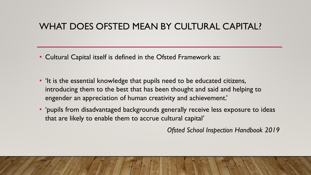### WHAT DOES OFSTED MEAN BY CULTURAL CAPITAL?

- Cultural Capital itself is defined in the Ofsted Framework as:
- 'It is the essential knowledge that pupils need to be educated citizens, introducing them to the best that has been thought and said and helping to engender an appreciation of human creativity and achievement.'
- 'pupils from disadvantaged backgrounds generally receive less exposure to ideas that are likely to enable them to accrue cultural capital'

*Ofsted School Inspection Handbook 2019*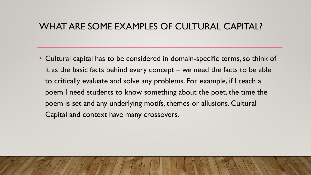#### WHAT ARE SOME EXAMPLES OF CULTURAL CAPITAL?

• Cultural capital has to be considered in domain-specific terms, so think of it as the basic facts behind every concept – we need the facts to be able to critically evaluate and solve any problems. For example, if I teach a poem I need students to know something about the poet, the time the poem is set and any underlying motifs, themes or allusions. Cultural Capital and context have many crossovers.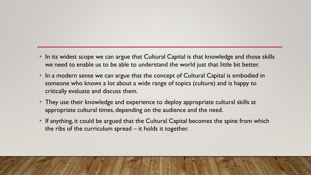- In its widest scope we can argue that Cultural Capital is that knowledge and those skills we need to enable us to be able to understand the world just that little bit better.
- In a modern sense we can argue that the concept of Cultural Capital is embodied in someone who knows a lot about a wide range of topics (culture) and is happy to critically evaluate and discuss them.
- They use their knowledge and experience to deploy appropriate cultural skills at appropriate cultural times, depending on the audience and the need.
- If anything, it could be argued that the Cultural Capital becomes the spine from which the ribs of the curriculum spread – it holds it together.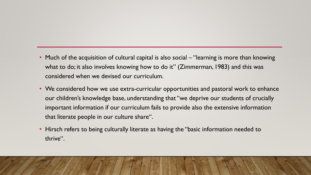- Much of the acquisition of cultural capital is also social "learning is more than knowing what to do; it also involves knowing how to do it" (Zimmerman, 1983) and this was considered when we devised our curriculum.
- We considered how we use extra-curricular opportunities and pastoral work to enhance our children's knowledge base, understanding that "we deprive our students of crucially important information if our curriculum fails to provide also the extensive information that literate people in our culture share".
- Hirsch refers to being culturally literate as having the "basic information needed to thrive".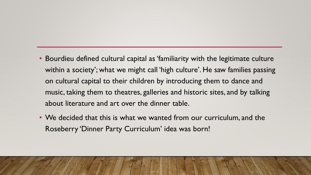- Bourdieu defined cultural capital as 'familiarity with the legitimate culture within a society'; what we might call 'high culture'. He saw families passing on cultural capital to their children by introducing them to dance and music, taking them to theatres, galleries and historic sites, and by talking about literature and art over the dinner table.
- We decided that this is what we wanted from our curriculum, and the Roseberry 'Dinner Party Curriculum' idea was born!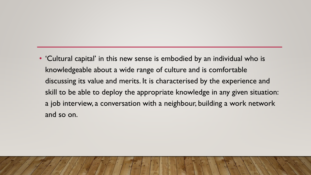• 'Cultural capital' in this new sense is embodied by an individual who is knowledgeable about a wide range of culture and is comfortable discussing its value and merits. It is characterised by the experience and skill to be able to deploy the appropriate knowledge in any given situation: a job interview, a conversation with a neighbour, building a work network and so on.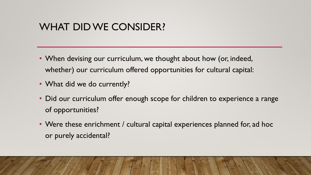## WHAT DID WE CONSIDER?

- When devising our curriculum, we thought about how (or, indeed, whether) our curriculum offered opportunities for cultural capital:
- What did we do currently?
- Did our curriculum offer enough scope for children to experience a range of opportunities?
- Were these enrichment / cultural capital experiences planned for, ad hoc or purely accidental?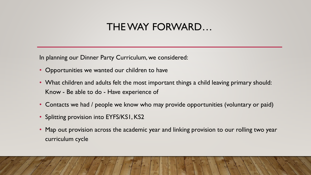## THE WAY FORWARD…

In planning our Dinner Party Curriculum, we considered:

- Opportunities we wanted our children to have
- What children and adults felt the most important things a child leaving primary should: Know - Be able to do - Have experience of
- Contacts we had / people we know who may provide opportunities (voluntary or paid)
- Splitting provision into EYFS/KS1, KS2
- Map out provision across the academic year and linking provision to our rolling two year curriculum cycle